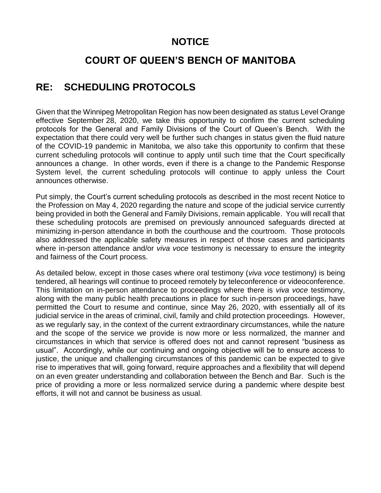# **NOTICE**

# **COURT OF QUEEN'S BENCH OF MANITOBA**

# **RE: SCHEDULING PROTOCOLS**

Given that the Winnipeg Metropolitan Region has now been designated as status Level Orange effective September 28, 2020, we take this opportunity to confirm the current scheduling protocols for the General and Family Divisions of the Court of Queen's Bench. With the expectation that there could very well be further such changes in status given the fluid nature of the COVID-19 pandemic in Manitoba, we also take this opportunity to confirm that these current scheduling protocols will continue to apply until such time that the Court specifically announces a change. In other words, even if there is a change to the Pandemic Response System level, the current scheduling protocols will continue to apply unless the Court announces otherwise.

Put simply, the Court's current scheduling protocols as described in the most recent Notice to the Profession on May 4, 2020 regarding the nature and scope of the judicial service currently being provided in both the General and Family Divisions, remain applicable. You will recall that these scheduling protocols are premised on previously announced safeguards directed at minimizing in-person attendance in both the courthouse and the courtroom. Those protocols also addressed the applicable safety measures in respect of those cases and participants where in-person attendance and/or *viva voce* testimony is necessary to ensure the integrity and fairness of the Court process.

As detailed below, except in those cases where oral testimony (*viva voce* testimony) is being tendered, all hearings will continue to proceed remotely by teleconference or videoconference. This limitation on in-person attendance to proceedings where there is *viva voce* testimony, along with the many public health precautions in place for such in-person proceedings, have permitted the Court to resume and continue, since May 26, 2020, with essentially all of its judicial service in the areas of criminal, civil, family and child protection proceedings. However, as we regularly say, in the context of the current extraordinary circumstances, while the nature and the scope of the service we provide is now more or less normalized, the manner and circumstances in which that service is offered does not and cannot represent "business as usual". Accordingly, while our continuing and ongoing objective will be to ensure access to justice, the unique and challenging circumstances of this pandemic can be expected to give rise to imperatives that will, going forward, require approaches and a flexibility that will depend on an even greater understanding and collaboration between the Bench and Bar. Such is the price of providing a more or less normalized service during a pandemic where despite best efforts, it will not and cannot be business as usual.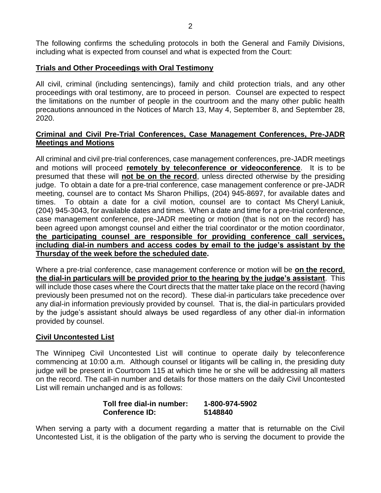The following confirms the scheduling protocols in both the General and Family Divisions, including what is expected from counsel and what is expected from the Court:

## **Trials and Other Proceedings with Oral Testimony**

All civil, criminal (including sentencings), family and child protection trials, and any other proceedings with oral testimony, are to proceed in person. Counsel are expected to respect the limitations on the number of people in the courtroom and the many other public health precautions announced in the Notices of March 13, May 4, September 8, and September 28, 2020.

## **Criminal and Civil Pre-Trial Conferences, Case Management Conferences, Pre-JADR Meetings and Motions**

All criminal and civil pre-trial conferences, case management conferences, pre-JADR meetings and motions will proceed **remotely by teleconference or videoconference**. It is to be presumed that these will **not be on the record**, unless directed otherwise by the presiding judge. To obtain a date for a pre-trial conference, case management conference or pre-JADR meeting, counsel are to contact Ms Sharon Phillips, (204) 945-8697, for available dates and times. To obtain a date for a civil motion, counsel are to contact Ms Cheryl Laniuk, (204) 945-3043, for available dates and times. When a date and time for a pre-trial conference, case management conference, pre-JADR meeting or motion (that is not on the record) has been agreed upon amongst counsel and either the trial coordinator or the motion coordinator, **the participating counsel are responsible for providing conference call services, including dial-in numbers and access codes by email to the judge's assistant by the Thursday of the week before the scheduled date.**

Where a pre-trial conference, case management conference or motion will be **on the record**, **the dial-in particulars will be provided prior to the hearing by the judge's assistant**. This will include those cases where the Court directs that the matter take place on the record (having previously been presumed not on the record). These dial-in particulars take precedence over any dial-in information previously provided by counsel. That is, the dial-in particulars provided by the judge's assistant should always be used regardless of any other dial-in information provided by counsel.

## **Civil Uncontested List**

The Winnipeg Civil Uncontested List will continue to operate daily by teleconference commencing at 10:00 a.m. Although counsel or litigants will be calling in, the presiding duty judge will be present in Courtroom 115 at which time he or she will be addressing all matters on the record. The call-in number and details for those matters on the daily Civil Uncontested List will remain unchanged and is as follows:

## **Toll free dial-in number: 1-800-974-5902 Conference ID: 5148840**

When serving a party with a document regarding a matter that is returnable on the Civil Uncontested List, it is the obligation of the party who is serving the document to provide the